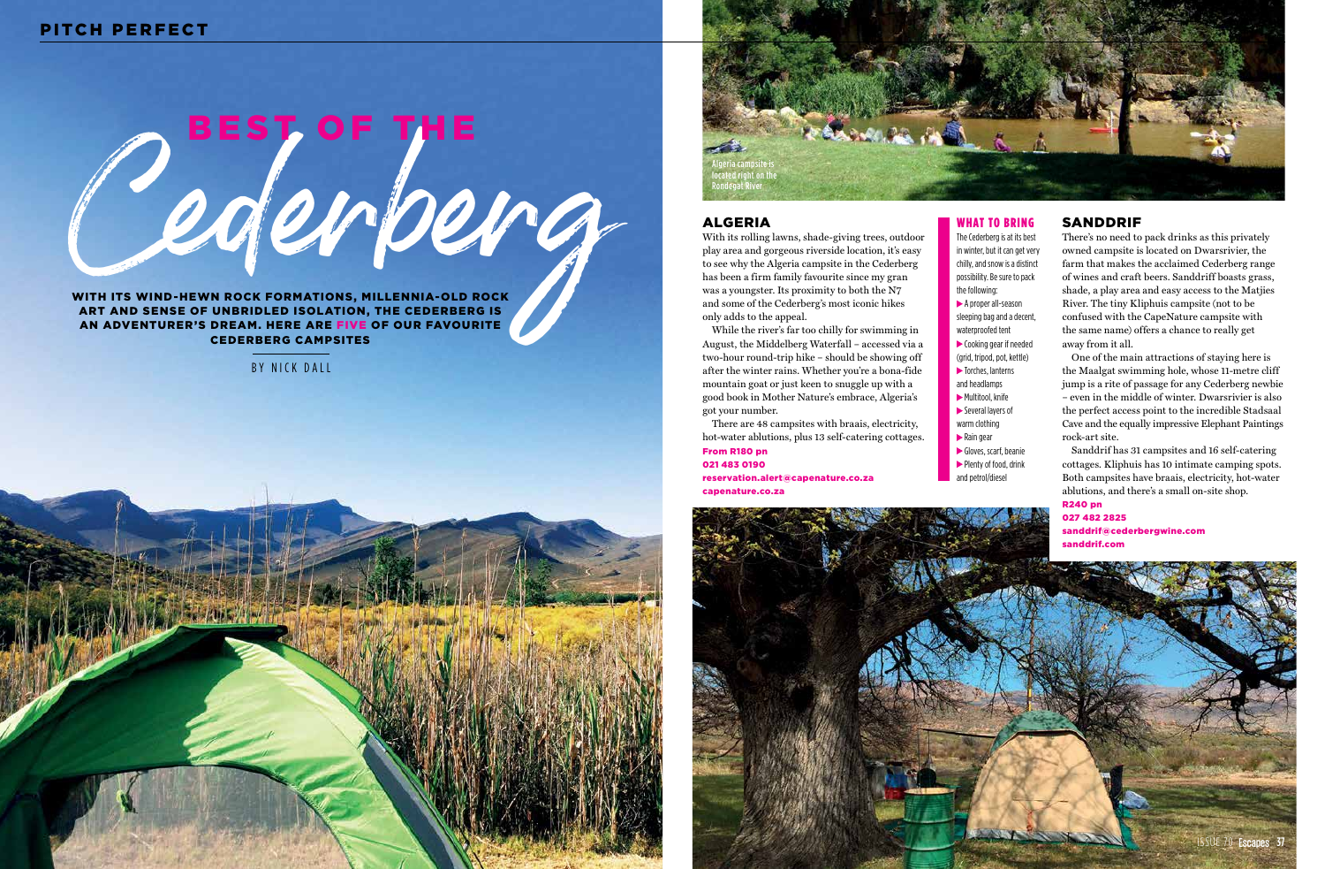## ALGERIA

With its rolling lawns, shade-giving trees, outdoor play area and gorgeous riverside location, it's easy to see why the Algeria campsite in the Cederberg has been a firm family favourite since my gran was a youngster. Its proximity to both the N7 and some of the Cederberg's most iconic hikes only adds to the appeal.

While the river's far too chilly for swimming in August, the Middelberg Waterfall – accessed via a two-hour round-trip hike – should be showing off after the winter rains. Whether you're a bona-fide mountain goat or just keen to snuggle up with a good book in Mother Nature's embrace, Algeria's got your number.

There are 48 campsites with braais, electricity, hot-water ablutions, plus 13 self-catering cottages. From R180 pn 021 483 0190

reservation.alert@capenature.co.za capenature.co.za

## SANDDRIF

Cederberg WITH ITS WIND-HEWN ROCK FORMATIONS, MILLENNIA-OLD ROCK ART AND SENSE OF UNBRIDLED ISOLATION, THE CEDERBERG IS

There's no need to pack drinks as this privately owned campsite is located on Dwarsrivier, the farm that makes the acclaimed Cederberg range of wines and craft beers. Sanddriff boasts grass, shade, a play area and easy access to the Matjies River. The tiny Kliphuis campsite (not to be confused with the CapeNature campsite with the same name) offers a chance to really get away from it all.

Gloves, scarf, beanie Plenty of food, drink and petrol/diesel





One of the main attractions of staying here is the Maalgat swimming hole, whose 11-metre cliff jump is a rite of passage for any Cederberg newbie – even in the middle of winter. Dwarsrivier is also the perfect access point to the incredible Stadsaal Cave and the equally impressive Elephant Paintings rock-art site.

Sanddrif has 31 campsites and 16 self-catering cottages. Kliphuis has 10 intimate camping spots. Both campsites have braais, electricity, hot-water ablutions, and there's a small on-site shop. R240 pn

027 482 2825 sanddrif@cederbergwine.com sanddrif.com

Algeria campsite is lted right on the Rondegat River

## PITCH PERFECT

AN ADVENTURER'S DREAM. HERE ARE FIVE OF OUR FAVOURITE CEDERBERG CAMPSITES

### WHAT TO BRING

# The Cederberg is at its best

in winter, but it can get very chilly, and snow is a distinct

possibility. Be sure to pack the following: A proper all-season sleeping bag and a decent, waterproofed tent Cooking gear if needed (grid, tripod, pot, kettle)  $\blacktriangleright$  Torches, lanterns and headlamps Multitool, knife Several layers of warm clothing Rain gear

BY NICK DALL